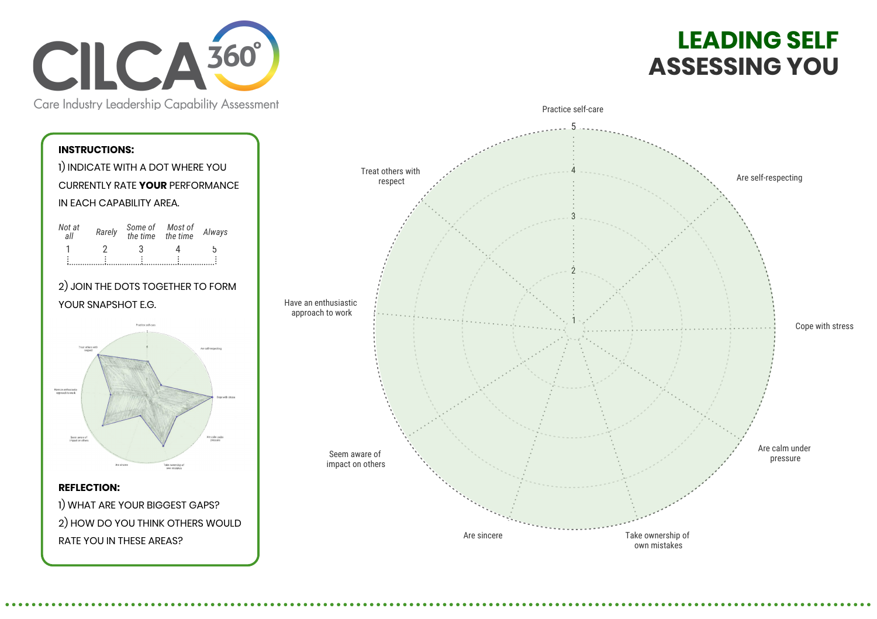

## **LEADING SELF ASSESSING YOU**